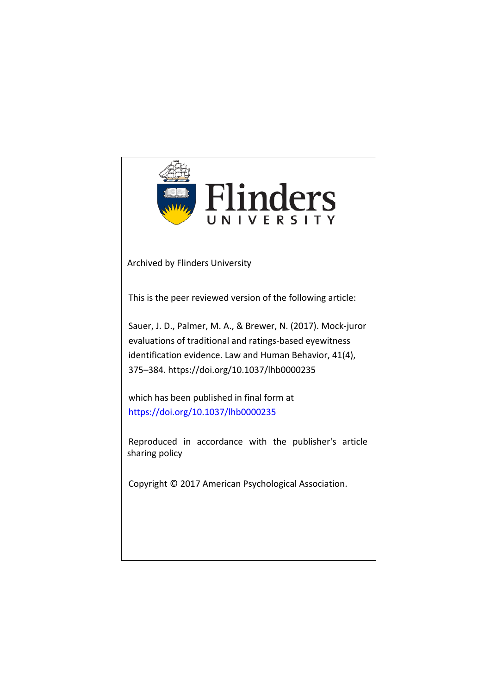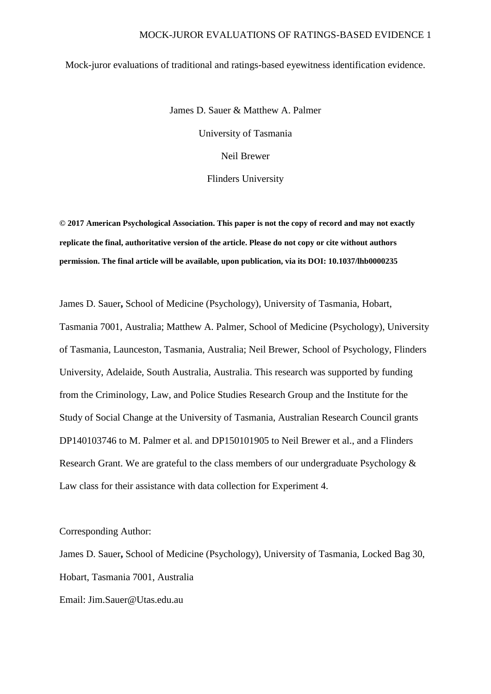### MOCK-JUROR EVALUATIONS OF RATINGS-BASED EVIDENCE 1

#### Mock-juror evaluations of traditional and ratings-based eyewitness identification evidence.

James D. Sauer & Matthew A. Palmer University of Tasmania Neil Brewer Flinders University

**© 2017 American Psychological Association. This paper is not the copy of record and may not exactly replicate the final, authoritative version of the article. Please do not copy or cite without authors permission. The final article will be available, upon publication, via its DOI: 10.1037/lhb0000235**

James D. Sauer**,** School of Medicine (Psychology), University of Tasmania, Hobart, Tasmania 7001, Australia; Matthew A. Palmer, School of Medicine (Psychology), University of Tasmania, Launceston, Tasmania, Australia; Neil Brewer, School of Psychology, Flinders University, Adelaide, South Australia, Australia. This research was supported by funding from the Criminology, Law, and Police Studies Research Group and the Institute for the Study of Social Change at the University of Tasmania, Australian Research Council grants DP140103746 to M. Palmer et al. and DP150101905 to Neil Brewer et al., and a Flinders Research Grant. We are grateful to the class members of our undergraduate Psychology  $\&$ Law class for their assistance with data collection for Experiment 4.

Corresponding Author:

James D. Sauer**,** School of Medicine (Psychology), University of Tasmania, Locked Bag 30, Hobart, Tasmania 7001, Australia Email: Jim.Sauer@Utas.edu.au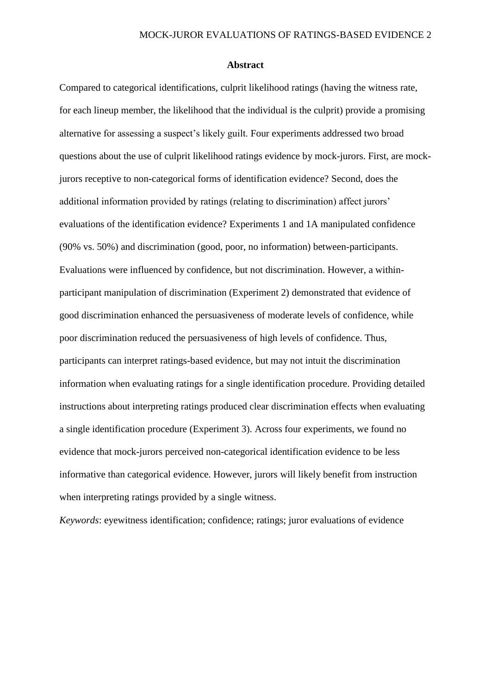#### **Abstract**

Compared to categorical identifications, culprit likelihood ratings (having the witness rate, for each lineup member, the likelihood that the individual is the culprit) provide a promising alternative for assessing a suspect's likely guilt. Four experiments addressed two broad questions about the use of culprit likelihood ratings evidence by mock-jurors. First, are mockjurors receptive to non-categorical forms of identification evidence? Second, does the additional information provided by ratings (relating to discrimination) affect jurors' evaluations of the identification evidence? Experiments 1 and 1A manipulated confidence (90% vs. 50%) and discrimination (good, poor, no information) between-participants. Evaluations were influenced by confidence, but not discrimination. However, a withinparticipant manipulation of discrimination (Experiment 2) demonstrated that evidence of good discrimination enhanced the persuasiveness of moderate levels of confidence, while poor discrimination reduced the persuasiveness of high levels of confidence. Thus, participants can interpret ratings-based evidence, but may not intuit the discrimination information when evaluating ratings for a single identification procedure. Providing detailed instructions about interpreting ratings produced clear discrimination effects when evaluating a single identification procedure (Experiment 3). Across four experiments, we found no evidence that mock-jurors perceived non-categorical identification evidence to be less informative than categorical evidence. However, jurors will likely benefit from instruction when interpreting ratings provided by a single witness.

*Keywords*: eyewitness identification; confidence; ratings; juror evaluations of evidence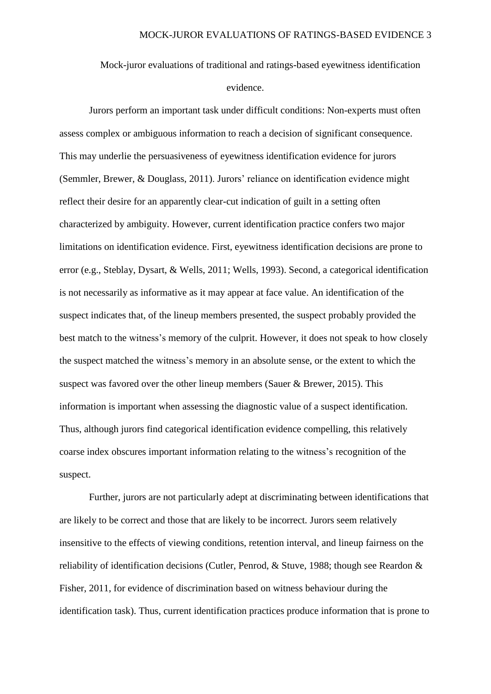Mock-juror evaluations of traditional and ratings-based eyewitness identification evidence.

Jurors perform an important task under difficult conditions: Non-experts must often assess complex or ambiguous information to reach a decision of significant consequence. This may underlie the persuasiveness of eyewitness identification evidence for jurors [\(Semmler, Brewer, & Douglass, 2011\)](#page-28-0). Jurors' reliance on identification evidence might reflect their desire for an apparently clear-cut indication of guilt in a setting often characterized by ambiguity. However, current identification practice confers two major limitations on identification evidence. First, eyewitness identification decisions are prone to error (e.g., [Steblay, Dysart, & Wells, 2011;](#page-29-0) [Wells, 1993\)](#page-29-1). Second, a categorical identification is not necessarily as informative as it may appear at face value. An identification of the suspect indicates that, of the lineup members presented, the suspect probably provided the best match to the witness's memory of the culprit. However, it does not speak to how closely the suspect matched the witness's memory in an absolute sense, or the extent to which the suspect was favored over the other lineup members (Sauer  $\&$  Brewer, 2015). This information is important when assessing the diagnostic value of a suspect identification. Thus, although jurors find categorical identification evidence compelling, this relatively coarse index obscures important information relating to the witness's recognition of the suspect.

Further, jurors are not particularly adept at discriminating between identifications that are likely to be correct and those that are likely to be incorrect. Jurors seem relatively insensitive to the effects of viewing conditions, retention interval, and lineup fairness on the reliability of identification decisions [\(Cutler, Penrod, & Stuve, 1988; though see Reardon &](#page-27-0)  [Fisher, 2011, for evidence of discrimination based on witness behaviour during the](#page-27-0)  [identification task\)](#page-27-0). Thus, current identification practices produce information that is prone to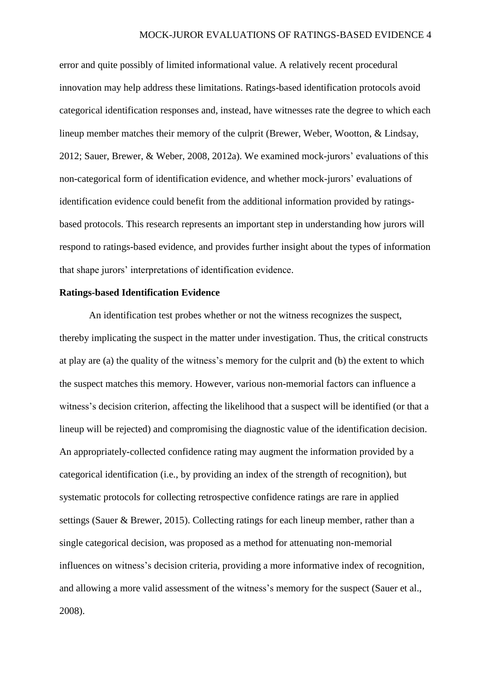### MOCK-JUROR EVALUATIONS OF RATINGS-BASED EVIDENCE 4

error and quite possibly of limited informational value. A relatively recent procedural innovation may help address these limitations. Ratings-based identification protocols avoid categorical identification responses and, instead, have witnesses rate the degree to which each lineup member matches their memory of the culprit [\(Brewer, Weber, Wootton, & Lindsay,](#page-27-1)  [2012;](#page-27-1) [Sauer, Brewer, & Weber, 2008,](#page-28-2) [2012a\)](#page-28-3). We examined mock-jurors' evaluations of this non-categorical form of identification evidence, and whether mock-jurors' evaluations of identification evidence could benefit from the additional information provided by ratingsbased protocols. This research represents an important step in understanding how jurors will respond to ratings-based evidence, and provides further insight about the types of information that shape jurors' interpretations of identification evidence.

## **Ratings-based Identification Evidence**

An identification test probes whether or not the witness recognizes the suspect, thereby implicating the suspect in the matter under investigation. Thus, the critical constructs at play are (a) the quality of the witness's memory for the culprit and (b) the extent to which the suspect matches this memory. However, various non-memorial factors can influence a witness's decision criterion, affecting the likelihood that a suspect will be identified (or that a lineup will be rejected) and compromising the diagnostic value of the identification decision. An appropriately-collected confidence rating may augment the information provided by a categorical identification (i.e., by providing an index of the strength of recognition), but systematic protocols for collecting retrospective confidence ratings are rare in applied settings [\(Sauer & Brewer, 2015\)](#page-28-1). Collecting ratings for each lineup member, rather than a single categorical decision, was proposed as a method for attenuating non-memorial influences on witness's decision criteria, providing a more informative index of recognition, and allowing a more valid assessment of the witness's memory for the suspect [\(Sauer et al.,](#page-28-2)  [2008\)](#page-28-2).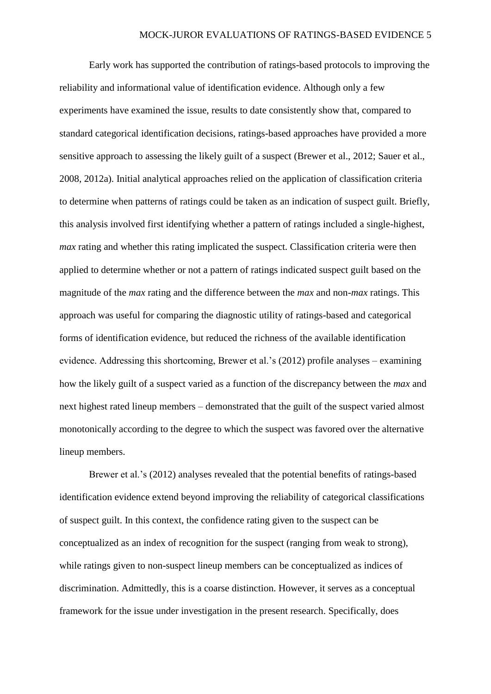Early work has supported the contribution of ratings-based protocols to improving the reliability and informational value of identification evidence. Although only a few experiments have examined the issue, results to date consistently show that, compared to standard categorical identification decisions, ratings-based approaches have provided a more sensitive approach to assessing the likely guilt of a suspect [\(Brewer et al., 2012;](#page-27-1) [Sauer et al.,](#page-28-2)  [2008,](#page-28-2) [2012a\)](#page-28-3). Initial analytical approaches relied on the application of classification criteria to determine when patterns of ratings could be taken as an indication of suspect guilt. Briefly, this analysis involved first identifying whether a pattern of ratings included a single-highest, *max* rating and whether this rating implicated the suspect. Classification criteria were then applied to determine whether or not a pattern of ratings indicated suspect guilt based on the magnitude of the *max* rating and the difference between the *max* and non-*max* ratings. This approach was useful for comparing the diagnostic utility of ratings-based and categorical forms of identification evidence, but reduced the richness of the available identification evidence. Addressing this shortcoming, Brewer et al.'s [\(2012\)](#page-27-1) profile analyses – examining how the likely guilt of a suspect varied as a function of the discrepancy between the *max* and next highest rated lineup members – demonstrated that the guilt of the suspect varied almost monotonically according to the degree to which the suspect was favored over the alternative lineup members.

Brewer et al.'s (2012) analyses revealed that the potential benefits of ratings-based identification evidence extend beyond improving the reliability of categorical classifications of suspect guilt. In this context, the confidence rating given to the suspect can be conceptualized as an index of recognition for the suspect (ranging from weak to strong), while ratings given to non-suspect lineup members can be conceptualized as indices of discrimination. Admittedly, this is a coarse distinction. However, it serves as a conceptual framework for the issue under investigation in the present research. Specifically, does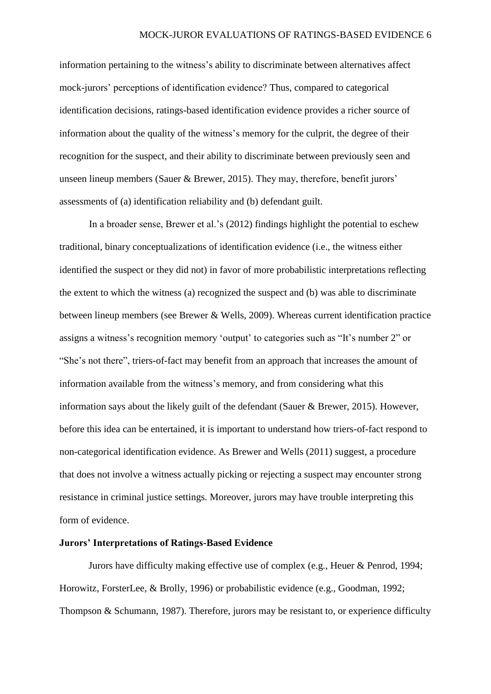information pertaining to the witness's ability to discriminate between alternatives affect mock-jurors' perceptions of identification evidence? Thus, compared to categorical identification decisions, ratings-based identification evidence provides a richer source of information about the quality of the witness's memory for the culprit, the degree of their recognition for the suspect, and their ability to discriminate between previously seen and unseen lineup members [\(Sauer & Brewer, 2015\)](#page-28-1). They may, therefore, benefit jurors' assessments of (a) identification reliability and (b) defendant guilt.

In a broader sense, Brewer et al.'s [\(2012\)](#page-27-1) findings highlight the potential to eschew traditional, binary conceptualizations of identification evidence (i.e., the witness either identified the suspect or they did not) in favor of more probabilistic interpretations reflecting the extent to which the witness (a) recognized the suspect and (b) was able to discriminate between lineup members [\(see Brewer & Wells, 2009\)](#page-27-2). Whereas current identification practice assigns a witness's recognition memory 'output' to categories such as "It's number 2" or "She's not there", triers-of-fact may benefit from an approach that increases the amount of information available from the witness's memory, and from considering what this information says about the likely guilt of the defendant [\(Sauer & Brewer, 2015\)](#page-28-1). However, before this idea can be entertained, it is important to understand how triers-of-fact respond to non-categorical identification evidence. As [Brewer and Wells \(2011\)](#page-27-3) suggest, a procedure that does not involve a witness actually picking or rejecting a suspect may encounter strong resistance in criminal justice settings. Moreover, jurors may have trouble interpreting this form of evidence.

## **Jurors' Interpretations of Ratings-Based Evidence**

Jurors have difficulty making effective use of complex (e.g., [Heuer & Penrod, 1994;](#page-27-4) [Horowitz, ForsterLee, & Brolly, 1996\)](#page-28-4) or probabilistic evidence (e.g., [Goodman, 1992;](#page-27-5) [Thompson & Schumann, 1987\)](#page-29-2). Therefore, jurors may be resistant to, or experience difficulty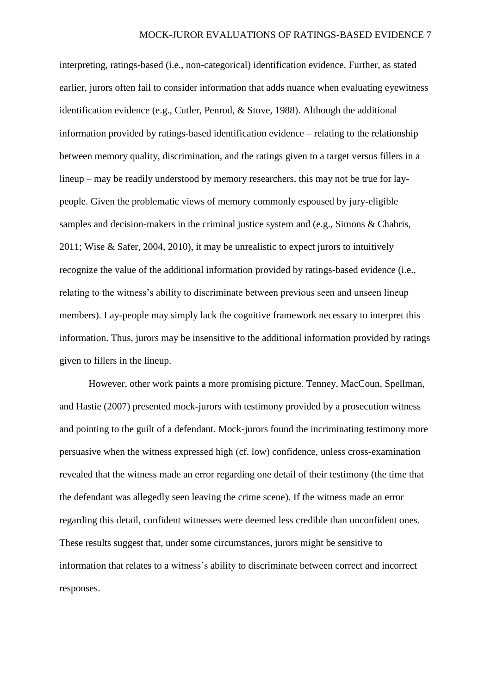interpreting, ratings-based (i.e., non-categorical) identification evidence. Further, as stated earlier, jurors often fail to consider information that adds nuance when evaluating eyewitness identification evidence (e.g., Cutler, Penrod, & Stuve, 1988). Although the additional information provided by ratings-based identification evidence – relating to the relationship between memory quality, discrimination, and the ratings given to a target versus fillers in a lineup – may be readily understood by memory researchers, this may not be true for laypeople. Given the problematic views of memory commonly espoused by jury-eligible samples and decision-makers in the criminal justice system and (e.g., Simons & Chabris, [2011;](#page-29-3) [Wise & Safer, 2004,](#page-29-4) [2010\)](#page-29-5), it may be unrealistic to expect jurors to intuitively recognize the value of the additional information provided by ratings-based evidence (i.e., relating to the witness's ability to discriminate between previous seen and unseen lineup members). Lay-people may simply lack the cognitive framework necessary to interpret this information. Thus, jurors may be insensitive to the additional information provided by ratings given to fillers in the lineup.

However, other work paints a more promising picture. [Tenney, MacCoun, Spellman,](#page-29-6)  and Hastie (2007) presented mock-jurors with testimony provided by a prosecution witness and pointing to the guilt of a defendant. Mock-jurors found the incriminating testimony more persuasive when the witness expressed high (cf. low) confidence, unless cross-examination revealed that the witness made an error regarding one detail of their testimony (the time that the defendant was allegedly seen leaving the crime scene). If the witness made an error regarding this detail, confident witnesses were deemed less credible than unconfident ones. These results suggest that, under some circumstances, jurors might be sensitive to information that relates to a witness's ability to discriminate between correct and incorrect responses.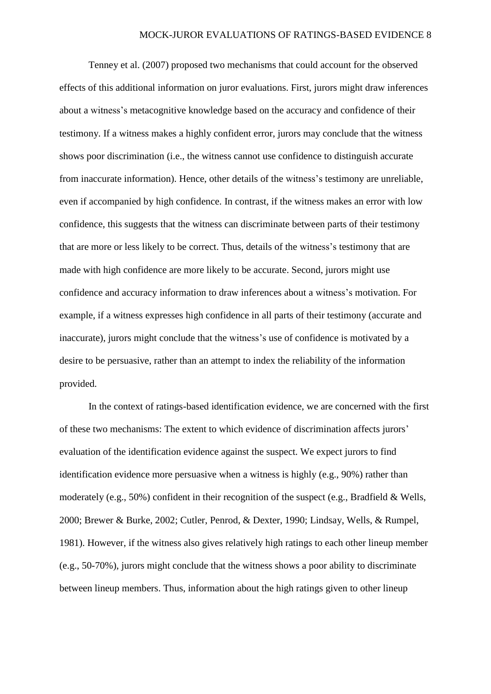Tenney et al. [\(2007\)](#page-29-6) proposed two mechanisms that could account for the observed effects of this additional information on juror evaluations. First, jurors might draw inferences about a witness's metacognitive knowledge based on the accuracy and confidence of their testimony. If a witness makes a highly confident error, jurors may conclude that the witness shows poor discrimination (i.e., the witness cannot use confidence to distinguish accurate from inaccurate information). Hence, other details of the witness's testimony are unreliable, even if accompanied by high confidence. In contrast, if the witness makes an error with low confidence, this suggests that the witness can discriminate between parts of their testimony that are more or less likely to be correct. Thus, details of the witness's testimony that are made with high confidence are more likely to be accurate. Second, jurors might use confidence and accuracy information to draw inferences about a witness's motivation. For example, if a witness expresses high confidence in all parts of their testimony (accurate and inaccurate), jurors might conclude that the witness's use of confidence is motivated by a desire to be persuasive, rather than an attempt to index the reliability of the information provided.

In the context of ratings-based identification evidence, we are concerned with the first of these two mechanisms: The extent to which evidence of discrimination affects jurors' evaluation of the identification evidence against the suspect. We expect jurors to find identification evidence more persuasive when a witness is highly (e.g., 90%) rather than moderately (e.g., 50%) confident in their recognition of the suspect (e.g., [Bradfield & Wells,](#page-27-6)  [2000;](#page-27-6) [Brewer & Burke, 2002;](#page-27-7) [Cutler, Penrod, & Dexter, 1990;](#page-27-8) [Lindsay, Wells, & Rumpel,](#page-28-5)  [1981\)](#page-28-5). However, if the witness also gives relatively high ratings to each other lineup member (e.g., 50-70%), jurors might conclude that the witness shows a poor ability to discriminate between lineup members. Thus, information about the high ratings given to other lineup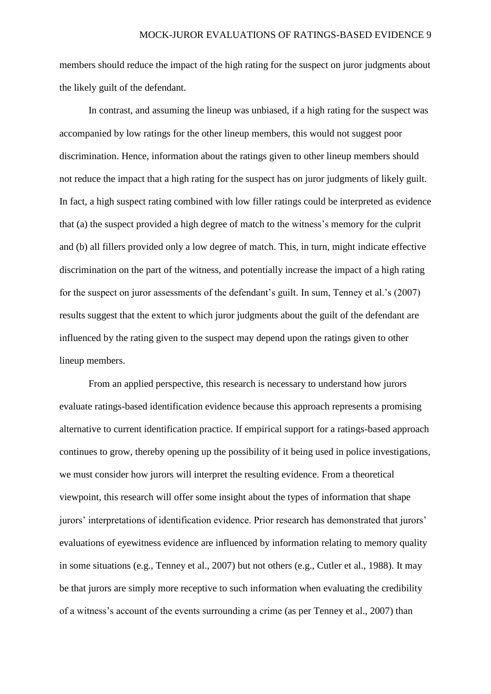members should reduce the impact of the high rating for the suspect on juror judgments about the likely guilt of the defendant.

In contrast, and assuming the lineup was unbiased, if a high rating for the suspect was accompanied by low ratings for the other lineup members, this would not suggest poor discrimination. Hence, information about the ratings given to other lineup members should not reduce the impact that a high rating for the suspect has on juror judgments of likely guilt. In fact, a high suspect rating combined with low filler ratings could be interpreted as evidence that (a) the suspect provided a high degree of match to the witness's memory for the culprit and (b) all fillers provided only a low degree of match. This, in turn, might indicate effective discrimination on the part of the witness, and potentially increase the impact of a high rating for the suspect on juror assessments of the defendant's guilt. In sum, Tenney et al.'s (2007) results suggest that the extent to which juror judgments about the guilt of the defendant are influenced by the rating given to the suspect may depend upon the ratings given to other lineup members.

From an applied perspective, this research is necessary to understand how jurors evaluate ratings-based identification evidence because this approach represents a promising alternative to current identification practice. If empirical support for a ratings-based approach continues to grow, thereby opening up the possibility of it being used in police investigations, we must consider how jurors will interpret the resulting evidence. From a theoretical viewpoint, this research will offer some insight about the types of information that shape jurors' interpretations of identification evidence. Prior research has demonstrated that jurors' evaluations of eyewitness evidence are influenced by information relating to memory quality in some situations [\(e.g., Tenney et al., 2007\)](#page-29-6) but not others [\(e.g., Cutler et al., 1988\)](#page-27-0). It may be that jurors are simply more receptive to such information when evaluating the credibility of a witness's account of the events surrounding a crime [\(as per Tenney et al., 2007\)](#page-29-6) than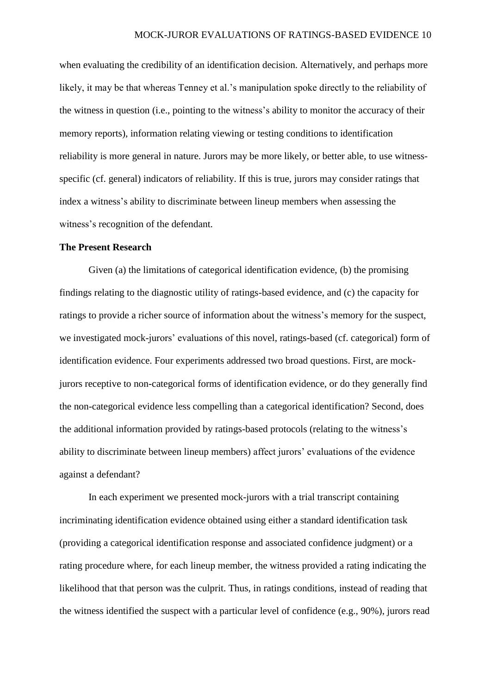when evaluating the credibility of an identification decision. Alternatively, and perhaps more likely, it may be that whereas Tenney et al.'s manipulation spoke directly to the reliability of the witness in question (i.e., pointing to the witness's ability to monitor the accuracy of their memory reports), information relating viewing or testing conditions to identification reliability is more general in nature. Jurors may be more likely, or better able, to use witnessspecific (cf. general) indicators of reliability. If this is true, jurors may consider ratings that index a witness's ability to discriminate between lineup members when assessing the witness's recognition of the defendant.

### **The Present Research**

Given (a) the limitations of categorical identification evidence, (b) the promising findings relating to the diagnostic utility of ratings-based evidence, and (c) the capacity for ratings to provide a richer source of information about the witness's memory for the suspect, we investigated mock-jurors' evaluations of this novel, ratings-based (cf. categorical) form of identification evidence. Four experiments addressed two broad questions. First, are mockjurors receptive to non-categorical forms of identification evidence, or do they generally find the non-categorical evidence less compelling than a categorical identification? Second, does the additional information provided by ratings-based protocols (relating to the witness's ability to discriminate between lineup members) affect jurors' evaluations of the evidence against a defendant?

In each experiment we presented mock-jurors with a trial transcript containing incriminating identification evidence obtained using either a standard identification task (providing a categorical identification response and associated confidence judgment) or a rating procedure where, for each lineup member, the witness provided a rating indicating the likelihood that that person was the culprit. Thus, in ratings conditions, instead of reading that the witness identified the suspect with a particular level of confidence (e.g., 90%), jurors read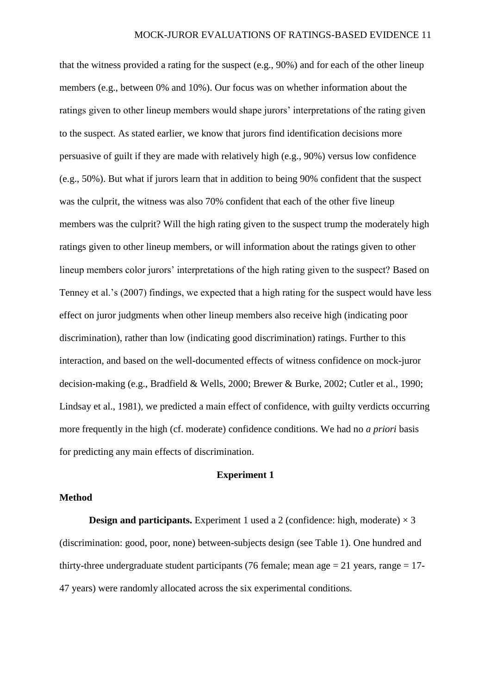that the witness provided a rating for the suspect (e.g., 90%) and for each of the other lineup members (e.g., between 0% and 10%). Our focus was on whether information about the ratings given to other lineup members would shape jurors' interpretations of the rating given to the suspect. As stated earlier, we know that jurors find identification decisions more persuasive of guilt if they are made with relatively high (e.g., 90%) versus low confidence (e.g., 50%). But what if jurors learn that in addition to being 90% confident that the suspect was the culprit, the witness was also 70% confident that each of the other five lineup members was the culprit? Will the high rating given to the suspect trump the moderately high ratings given to other lineup members, or will information about the ratings given to other lineup members color jurors' interpretations of the high rating given to the suspect? Based on Tenney et al.'s (2007) findings, we expected that a high rating for the suspect would have less effect on juror judgments when other lineup members also receive high (indicating poor discrimination), rather than low (indicating good discrimination) ratings. Further to this interaction, and based on the well-documented effects of witness confidence on mock-juror decision-making (e.g., [Bradfield & Wells, 2000;](#page-27-6) [Brewer & Burke, 2002;](#page-27-7) [Cutler et al., 1990;](#page-27-8) [Lindsay et al., 1981\)](#page-28-5), we predicted a main effect of confidence, with guilty verdicts occurring more frequently in the high (cf. moderate) confidence conditions. We had no *a priori* basis for predicting any main effects of discrimination.

## **Experiment 1**

## **Method**

**Design and participants.** Experiment 1 used a 2 (confidence: high, moderate)  $\times$  3 (discrimination: good, poor, none) between-subjects design (see Table 1). One hundred and thirty-three undergraduate student participants (76 female; mean age  $= 21$  years, range  $= 17$ -47 years) were randomly allocated across the six experimental conditions.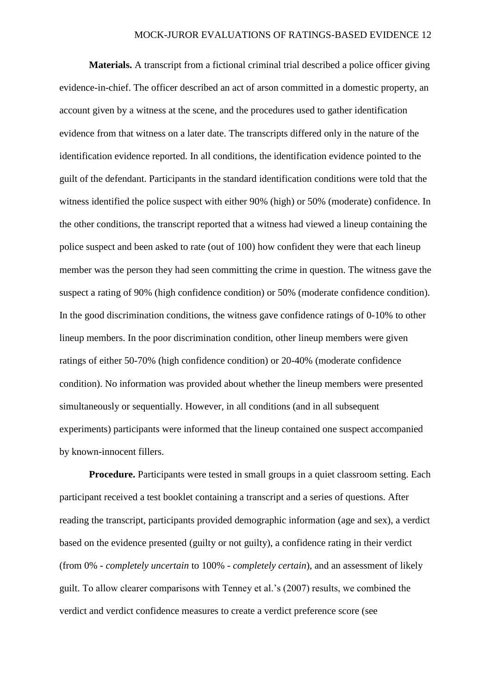**Materials.** A transcript from a fictional criminal trial described a police officer giving evidence-in-chief. The officer described an act of arson committed in a domestic property, an account given by a witness at the scene, and the procedures used to gather identification evidence from that witness on a later date. The transcripts differed only in the nature of the identification evidence reported. In all conditions, the identification evidence pointed to the guilt of the defendant. Participants in the standard identification conditions were told that the witness identified the police suspect with either 90% (high) or 50% (moderate) confidence. In the other conditions, the transcript reported that a witness had viewed a lineup containing the police suspect and been asked to rate (out of 100) how confident they were that each lineup member was the person they had seen committing the crime in question. The witness gave the suspect a rating of 90% (high confidence condition) or 50% (moderate confidence condition). In the good discrimination conditions, the witness gave confidence ratings of 0-10% to other lineup members. In the poor discrimination condition, other lineup members were given ratings of either 50-70% (high confidence condition) or 20-40% (moderate confidence condition). No information was provided about whether the lineup members were presented simultaneously or sequentially. However, in all conditions (and in all subsequent experiments) participants were informed that the lineup contained one suspect accompanied by known-innocent fillers.

**Procedure.** Participants were tested in small groups in a quiet classroom setting. Each participant received a test booklet containing a transcript and a series of questions. After reading the transcript, participants provided demographic information (age and sex), a verdict based on the evidence presented (guilty or not guilty), a confidence rating in their verdict (from 0% - *completely uncertain* to 100% - *completely certain*), and an assessment of likely guilt. To allow clearer comparisons with Tenney et al.'s (2007) results, we combined the verdict and verdict confidence measures to create a verdict preference score (see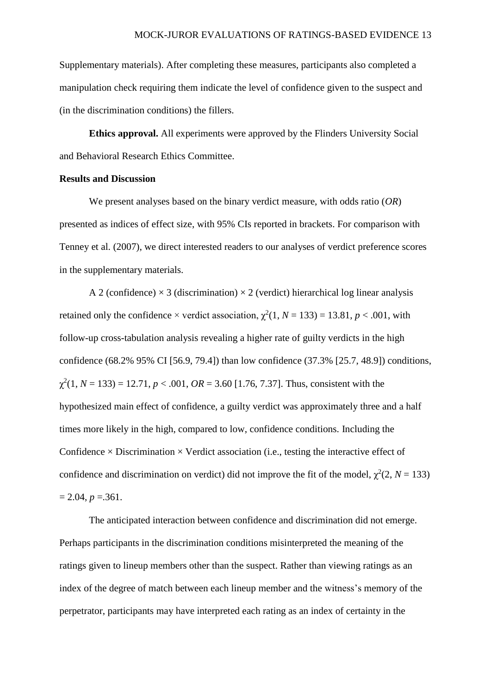Supplementary materials). After completing these measures, participants also completed a manipulation check requiring them indicate the level of confidence given to the suspect and (in the discrimination conditions) the fillers.

**Ethics approval.** All experiments were approved by the Flinders University Social and Behavioral Research Ethics Committee.

## **Results and Discussion**

We present analyses based on the binary verdict measure, with odds ratio (*OR*) presented as indices of effect size, with 95% CIs reported in brackets. For comparison with Tenney et al. (2007), we direct interested readers to our analyses of verdict preference scores in the supplementary materials.

A 2 (confidence)  $\times$  3 (discrimination)  $\times$  2 (verdict) hierarchical log linear analysis retained only the confidence  $\times$  verdict association,  $\chi^2(1, N = 133) = 13.81$ ,  $p < .001$ , with follow-up cross-tabulation analysis revealing a higher rate of guilty verdicts in the high confidence (68.2% 95% CI [56.9, 79.4]) than low confidence (37.3% [25.7, 48.9]) conditions,  $\chi^2(1, N = 133) = 12.71, p < .001, OR = 3.60$  [1.76, 7.37]. Thus, consistent with the hypothesized main effect of confidence, a guilty verdict was approximately three and a half times more likely in the high, compared to low, confidence conditions. Including the Confidence  $\times$  Discrimination  $\times$  Verdict association (i.e., testing the interactive effect of confidence and discrimination on verdict) did not improve the fit of the model,  $\chi^2(2, N = 133)$  $= 2.04, p = 0.361.$ 

The anticipated interaction between confidence and discrimination did not emerge. Perhaps participants in the discrimination conditions misinterpreted the meaning of the ratings given to lineup members other than the suspect. Rather than viewing ratings as an index of the degree of match between each lineup member and the witness's memory of the perpetrator, participants may have interpreted each rating as an index of certainty in the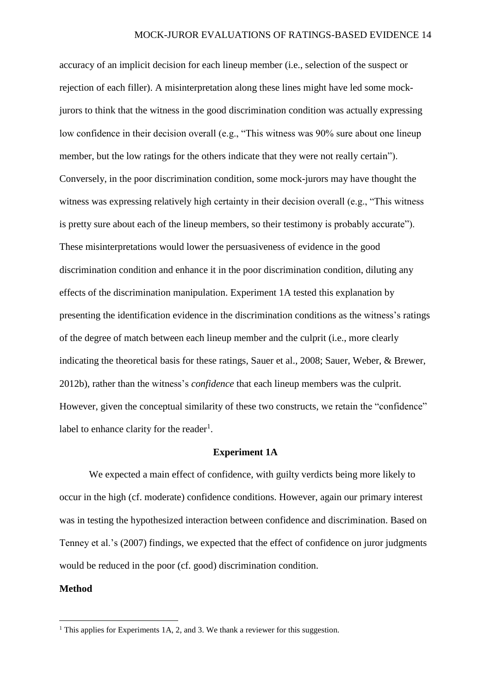accuracy of an implicit decision for each lineup member (i.e., selection of the suspect or rejection of each filler). A misinterpretation along these lines might have led some mockjurors to think that the witness in the good discrimination condition was actually expressing low confidence in their decision overall (e.g., "This witness was 90% sure about one lineup member, but the low ratings for the others indicate that they were not really certain"). Conversely, in the poor discrimination condition, some mock-jurors may have thought the witness was expressing relatively high certainty in their decision overall (e.g., "This witness") is pretty sure about each of the lineup members, so their testimony is probably accurate"). These misinterpretations would lower the persuasiveness of evidence in the good discrimination condition and enhance it in the poor discrimination condition, diluting any effects of the discrimination manipulation. Experiment 1A tested this explanation by presenting the identification evidence in the discrimination conditions as the witness's ratings of the degree of match between each lineup member and the culprit (i.e., more clearly indicating the theoretical basis for these ratings, [Sauer et al., 2008;](#page-28-2) [Sauer, Weber, & Brewer,](#page-28-6)  [2012b\)](#page-28-6), rather than the witness's *confidence* that each lineup members was the culprit. However, given the conceptual similarity of these two constructs, we retain the "confidence" label to enhance clarity for the reader<sup>1</sup>.

### **Experiment 1A**

We expected a main effect of confidence, with guilty verdicts being more likely to occur in the high (cf. moderate) confidence conditions. However, again our primary interest was in testing the hypothesized interaction between confidence and discrimination. Based on Tenney et al.'s [\(2007\)](#page-29-6) findings, we expected that the effect of confidence on juror judgments would be reduced in the poor (cf. good) discrimination condition.

### **Method**

**.** 

<sup>&</sup>lt;sup>1</sup> This applies for Experiments 1A, 2, and 3. We thank a reviewer for this suggestion.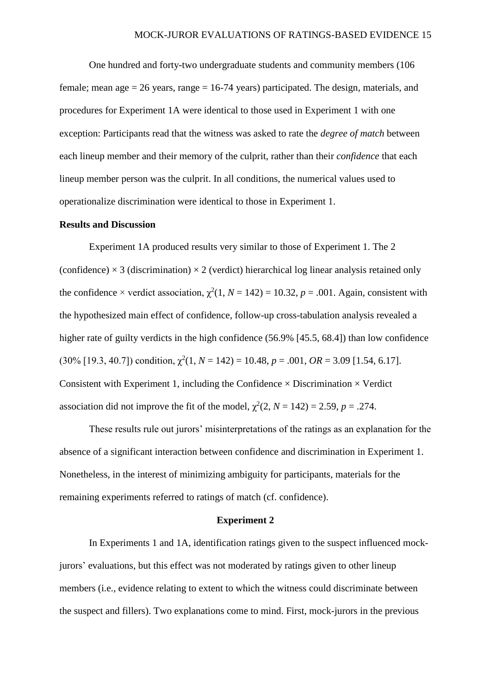One hundred and forty-two undergraduate students and community members (106 female; mean age  $= 26$  years, range  $= 16-74$  years) participated. The design, materials, and procedures for Experiment 1A were identical to those used in Experiment 1 with one exception: Participants read that the witness was asked to rate the *degree of match* between each lineup member and their memory of the culprit, rather than their *confidence* that each lineup member person was the culprit. In all conditions, the numerical values used to operationalize discrimination were identical to those in Experiment 1.

## **Results and Discussion**

Experiment 1A produced results very similar to those of Experiment 1. The 2 (confidence)  $\times$  3 (discrimination)  $\times$  2 (verdict) hierarchical log linear analysis retained only the confidence  $\times$  verdict association,  $\chi^2(1, N = 142) = 10.32$ ,  $p = .001$ . Again, consistent with the hypothesized main effect of confidence, follow-up cross-tabulation analysis revealed a higher rate of guilty verdicts in the high confidence (56.9% [45.5, 68.4]) than low confidence  $(30\%$  [19.3, 40.7]) condition,  $\chi^2(1, N = 142) = 10.48$ ,  $p = .001$ ,  $OR = 3.09$  [1.54, 6.17]. Consistent with Experiment 1, including the Confidence  $\times$  Discrimination  $\times$  Verdict association did not improve the fit of the model,  $\chi^2(2, N = 142) = 2.59$ ,  $p = .274$ .

These results rule out jurors' misinterpretations of the ratings as an explanation for the absence of a significant interaction between confidence and discrimination in Experiment 1. Nonetheless, in the interest of minimizing ambiguity for participants, materials for the remaining experiments referred to ratings of match (cf. confidence).

### **Experiment 2**

In Experiments 1 and 1A, identification ratings given to the suspect influenced mockjurors' evaluations, but this effect was not moderated by ratings given to other lineup members (i.e., evidence relating to extent to which the witness could discriminate between the suspect and fillers). Two explanations come to mind. First, mock-jurors in the previous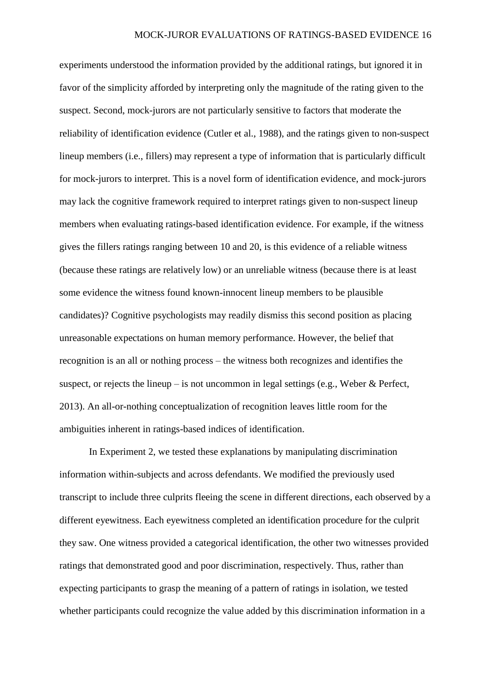experiments understood the information provided by the additional ratings, but ignored it in favor of the simplicity afforded by interpreting only the magnitude of the rating given to the suspect. Second, mock-jurors are not particularly sensitive to factors that moderate the reliability of identification evidence [\(Cutler et al., 1988\)](#page-27-0), and the ratings given to non-suspect lineup members (i.e., fillers) may represent a type of information that is particularly difficult for mock-jurors to interpret. This is a novel form of identification evidence, and mock-jurors may lack the cognitive framework required to interpret ratings given to non-suspect lineup members when evaluating ratings-based identification evidence. For example, if the witness gives the fillers ratings ranging between 10 and 20, is this evidence of a reliable witness (because these ratings are relatively low) or an unreliable witness (because there is at least some evidence the witness found known-innocent lineup members to be plausible candidates)? Cognitive psychologists may readily dismiss this second position as placing unreasonable expectations on human memory performance. However, the belief that recognition is an all or nothing process – the witness both recognizes and identifies the suspect, or rejects the lineup – is not uncommon in legal settings [\(e.g., Weber & Perfect,](#page-29-7)  [2013\)](#page-29-7). An all-or-nothing conceptualization of recognition leaves little room for the ambiguities inherent in ratings-based indices of identification.

In Experiment 2, we tested these explanations by manipulating discrimination information within-subjects and across defendants. We modified the previously used transcript to include three culprits fleeing the scene in different directions, each observed by a different eyewitness. Each eyewitness completed an identification procedure for the culprit they saw. One witness provided a categorical identification, the other two witnesses provided ratings that demonstrated good and poor discrimination, respectively. Thus, rather than expecting participants to grasp the meaning of a pattern of ratings in isolation, we tested whether participants could recognize the value added by this discrimination information in a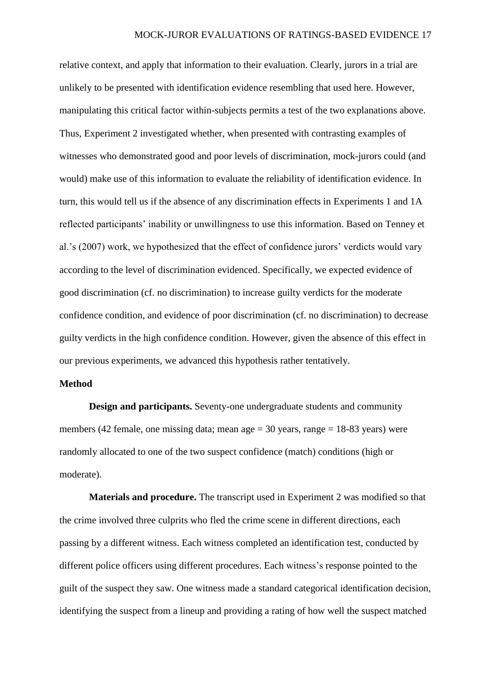relative context, and apply that information to their evaluation. Clearly, jurors in a trial are unlikely to be presented with identification evidence resembling that used here. However, manipulating this critical factor within-subjects permits a test of the two explanations above. Thus, Experiment 2 investigated whether, when presented with contrasting examples of witnesses who demonstrated good and poor levels of discrimination, mock-jurors could (and would) make use of this information to evaluate the reliability of identification evidence. In turn, this would tell us if the absence of any discrimination effects in Experiments 1 and 1A reflected participants' inability or unwillingness to use this information. Based on Tenney et al.'s (2007) work, we hypothesized that the effect of confidence jurors' verdicts would vary according to the level of discrimination evidenced. Specifically, we expected evidence of good discrimination (cf. no discrimination) to increase guilty verdicts for the moderate confidence condition, and evidence of poor discrimination (cf. no discrimination) to decrease guilty verdicts in the high confidence condition. However, given the absence of this effect in our previous experiments, we advanced this hypothesis rather tentatively.

## **Method**

**Design and participants.** Seventy-one undergraduate students and community members (42 female, one missing data; mean age = 30 years, range = 18-83 years) were randomly allocated to one of the two suspect confidence (match) conditions (high or moderate).

**Materials and procedure.** The transcript used in Experiment 2 was modified so that the crime involved three culprits who fled the crime scene in different directions, each passing by a different witness. Each witness completed an identification test, conducted by different police officers using different procedures. Each witness's response pointed to the guilt of the suspect they saw. One witness made a standard categorical identification decision, identifying the suspect from a lineup and providing a rating of how well the suspect matched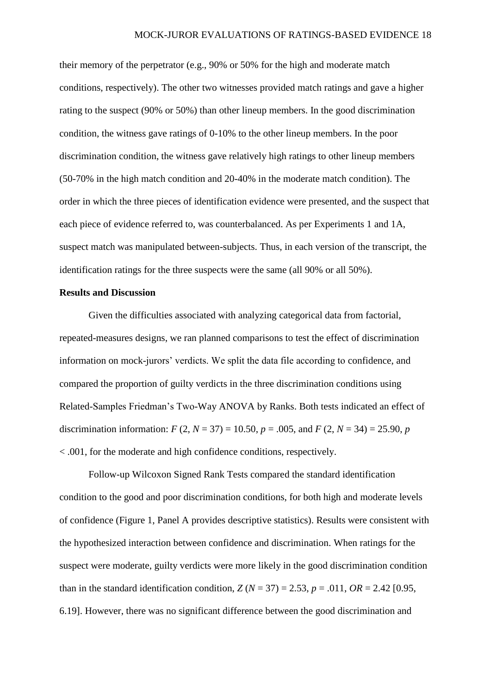their memory of the perpetrator (e.g., 90% or 50% for the high and moderate match conditions, respectively). The other two witnesses provided match ratings and gave a higher rating to the suspect (90% or 50%) than other lineup members. In the good discrimination condition, the witness gave ratings of 0-10% to the other lineup members. In the poor discrimination condition, the witness gave relatively high ratings to other lineup members (50-70% in the high match condition and 20-40% in the moderate match condition). The order in which the three pieces of identification evidence were presented, and the suspect that each piece of evidence referred to, was counterbalanced. As per Experiments 1 and 1A, suspect match was manipulated between-subjects. Thus, in each version of the transcript, the identification ratings for the three suspects were the same (all 90% or all 50%).

## **Results and Discussion**

Given the difficulties associated with analyzing categorical data from factorial, repeated-measures designs, we ran planned comparisons to test the effect of discrimination information on mock-jurors' verdicts. We split the data file according to confidence, and compared the proportion of guilty verdicts in the three discrimination conditions using Related-Samples Friedman's Two-Way ANOVA by Ranks. Both tests indicated an effect of discrimination information:  $F(2, N = 37) = 10.50$ ,  $p = .005$ , and  $F(2, N = 34) = 25.90$ , *p* < .001, for the moderate and high confidence conditions, respectively.

Follow-up Wilcoxon Signed Rank Tests compared the standard identification condition to the good and poor discrimination conditions, for both high and moderate levels of confidence (Figure 1, Panel A provides descriptive statistics). Results were consistent with the hypothesized interaction between confidence and discrimination. When ratings for the suspect were moderate, guilty verdicts were more likely in the good discrimination condition than in the standard identification condition,  $Z(N = 37) = 2.53$ ,  $p = .011$ ,  $OR = 2.42$  [0.95, 6.19]. However, there was no significant difference between the good discrimination and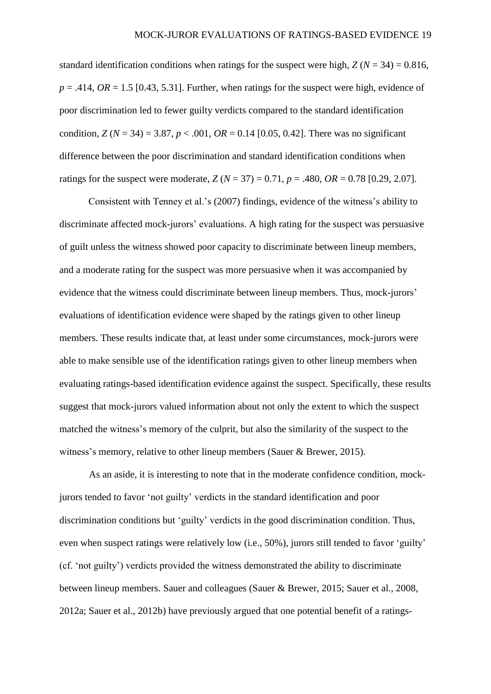standard identification conditions when ratings for the suspect were high,  $Z(N = 34) = 0.816$ ,  $p = .414$ ,  $OR = 1.5$  [0.43, 5.31]. Further, when ratings for the suspect were high, evidence of poor discrimination led to fewer guilty verdicts compared to the standard identification condition,  $Z(N = 34) = 3.87$ ,  $p < .001$ ,  $OR = 0.14$  [0.05, 0.42]. There was no significant difference between the poor discrimination and standard identification conditions when ratings for the suspect were moderate,  $Z(N = 37) = 0.71$ ,  $p = .480$ ,  $OR = 0.78$  [0.29, 2.07].

Consistent with Tenney et al.'s [\(2007\)](#page-29-6) findings, evidence of the witness's ability to discriminate affected mock-jurors' evaluations. A high rating for the suspect was persuasive of guilt unless the witness showed poor capacity to discriminate between lineup members, and a moderate rating for the suspect was more persuasive when it was accompanied by evidence that the witness could discriminate between lineup members. Thus, mock-jurors' evaluations of identification evidence were shaped by the ratings given to other lineup members. These results indicate that, at least under some circumstances, mock-jurors were able to make sensible use of the identification ratings given to other lineup members when evaluating ratings-based identification evidence against the suspect. Specifically, these results suggest that mock-jurors valued information about not only the extent to which the suspect matched the witness's memory of the culprit, but also the similarity of the suspect to the witness's memory, relative to other lineup members [\(Sauer & Brewer, 2015\)](#page-28-1).

As an aside, it is interesting to note that in the moderate confidence condition, mockjurors tended to favor 'not guilty' verdicts in the standard identification and poor discrimination conditions but 'guilty' verdicts in the good discrimination condition. Thus, even when suspect ratings were relatively low (i.e., 50%), jurors still tended to favor 'guilty' (cf. 'not guilty') verdicts provided the witness demonstrated the ability to discriminate between lineup members. Sauer and colleagues [\(Sauer & Brewer, 2015;](#page-28-1) [Sauer et al., 2008,](#page-28-2) [2012a;](#page-28-3) [Sauer et al., 2012b\)](#page-28-6) have previously argued that one potential benefit of a ratings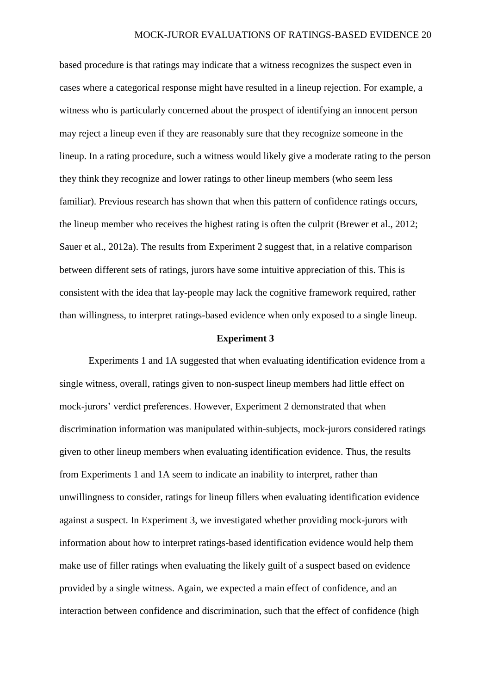based procedure is that ratings may indicate that a witness recognizes the suspect even in cases where a categorical response might have resulted in a lineup rejection. For example, a witness who is particularly concerned about the prospect of identifying an innocent person may reject a lineup even if they are reasonably sure that they recognize someone in the lineup. In a rating procedure, such a witness would likely give a moderate rating to the person they think they recognize and lower ratings to other lineup members (who seem less familiar). Previous research has shown that when this pattern of confidence ratings occurs, the lineup member who receives the highest rating is often the culprit [\(Brewer et al., 2012;](#page-27-1) [Sauer et al., 2012a\)](#page-28-3). The results from Experiment 2 suggest that, in a relative comparison between different sets of ratings, jurors have some intuitive appreciation of this. This is consistent with the idea that lay-people may lack the cognitive framework required, rather than willingness, to interpret ratings-based evidence when only exposed to a single lineup.

### **Experiment 3**

Experiments 1 and 1A suggested that when evaluating identification evidence from a single witness, overall, ratings given to non-suspect lineup members had little effect on mock-jurors' verdict preferences. However, Experiment 2 demonstrated that when discrimination information was manipulated within-subjects, mock-jurors considered ratings given to other lineup members when evaluating identification evidence. Thus, the results from Experiments 1 and 1A seem to indicate an inability to interpret, rather than unwillingness to consider, ratings for lineup fillers when evaluating identification evidence against a suspect. In Experiment 3, we investigated whether providing mock-jurors with information about how to interpret ratings-based identification evidence would help them make use of filler ratings when evaluating the likely guilt of a suspect based on evidence provided by a single witness. Again, we expected a main effect of confidence, and an interaction between confidence and discrimination, such that the effect of confidence (high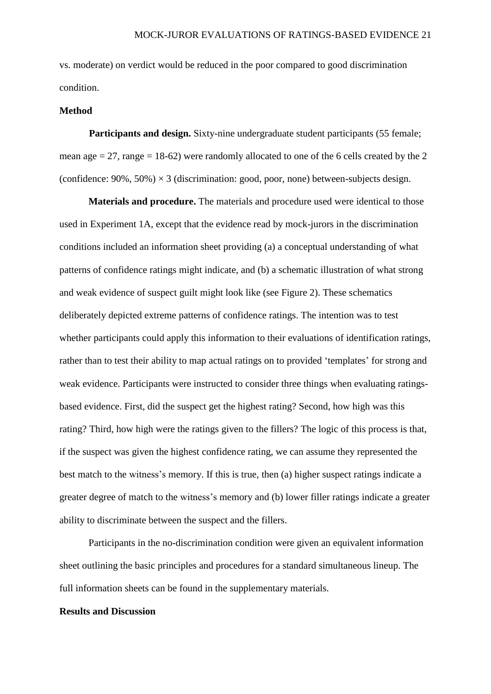vs. moderate) on verdict would be reduced in the poor compared to good discrimination condition.

### **Method**

**Participants and design.** Sixty-nine undergraduate student participants (55 female; mean age  $= 27$ , range  $= 18-62$ ) were randomly allocated to one of the 6 cells created by the 2 (confidence:  $90\%$ ,  $50\%$ )  $\times$  3 (discrimination: good, poor, none) between-subjects design.

**Materials and procedure.** The materials and procedure used were identical to those used in Experiment 1A, except that the evidence read by mock-jurors in the discrimination conditions included an information sheet providing (a) a conceptual understanding of what patterns of confidence ratings might indicate, and (b) a schematic illustration of what strong and weak evidence of suspect guilt might look like (see Figure 2). These schematics deliberately depicted extreme patterns of confidence ratings. The intention was to test whether participants could apply this information to their evaluations of identification ratings, rather than to test their ability to map actual ratings on to provided 'templates' for strong and weak evidence. Participants were instructed to consider three things when evaluating ratingsbased evidence. First, did the suspect get the highest rating? Second, how high was this rating? Third, how high were the ratings given to the fillers? The logic of this process is that, if the suspect was given the highest confidence rating, we can assume they represented the best match to the witness's memory. If this is true, then (a) higher suspect ratings indicate a greater degree of match to the witness's memory and (b) lower filler ratings indicate a greater ability to discriminate between the suspect and the fillers.

Participants in the no-discrimination condition were given an equivalent information sheet outlining the basic principles and procedures for a standard simultaneous lineup. The full information sheets can be found in the supplementary materials.

## **Results and Discussion**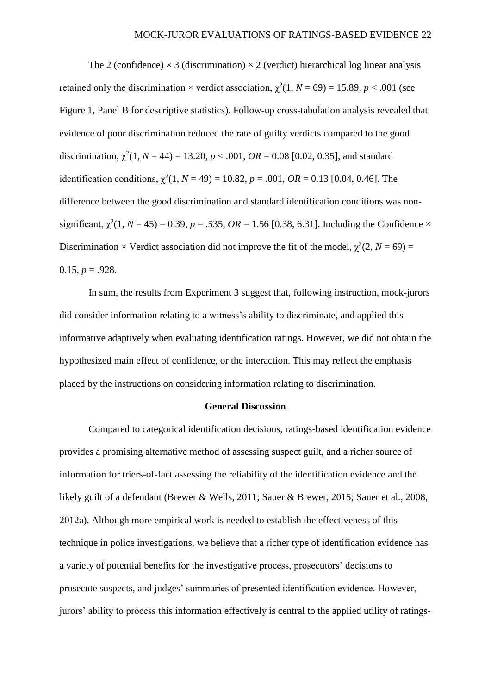The 2 (confidence)  $\times$  3 (discrimination)  $\times$  2 (verdict) hierarchical log linear analysis retained only the discrimination  $\times$  verdict association,  $\chi^2(1, N = 69) = 15.89$ ,  $p < .001$  (see Figure 1, Panel B for descriptive statistics). Follow-up cross-tabulation analysis revealed that evidence of poor discrimination reduced the rate of guilty verdicts compared to the good discrimination,  $\chi^2(1, N = 44) = 13.20, p < .001, OR = 0.08$  [0.02, 0.35], and standard identification conditions,  $\chi^2(1, N = 49) = 10.82$ ,  $p = .001$ ,  $OR = 0.13$  [0.04, 0.46]. The difference between the good discrimination and standard identification conditions was nonsignificant,  $\chi^2(1, N = 45) = 0.39$ ,  $p = .535$ ,  $OR = 1.56$  [0.38, 6.31]. Including the Confidence  $\times$ Discrimination  $\times$  Verdict association did not improve the fit of the model,  $\chi^2(2, N = 69) =$ 0.15,  $p = .928$ .

In sum, the results from Experiment 3 suggest that, following instruction, mock-jurors did consider information relating to a witness's ability to discriminate, and applied this informative adaptively when evaluating identification ratings. However, we did not obtain the hypothesized main effect of confidence, or the interaction. This may reflect the emphasis placed by the instructions on considering information relating to discrimination.

## **General Discussion**

Compared to categorical identification decisions, ratings-based identification evidence provides a promising alternative method of assessing suspect guilt, and a richer source of information for triers-of-fact assessing the reliability of the identification evidence and the likely guilt of a defendant [\(Brewer & Wells, 2011;](#page-27-3) [Sauer & Brewer, 2015;](#page-28-1) [Sauer et al., 2008,](#page-28-2) [2012a\)](#page-28-3). Although more empirical work is needed to establish the effectiveness of this technique in police investigations, we believe that a richer type of identification evidence has a variety of potential benefits for the investigative process, prosecutors' decisions to prosecute suspects, and judges' summaries of presented identification evidence. However, jurors' ability to process this information effectively is central to the applied utility of ratings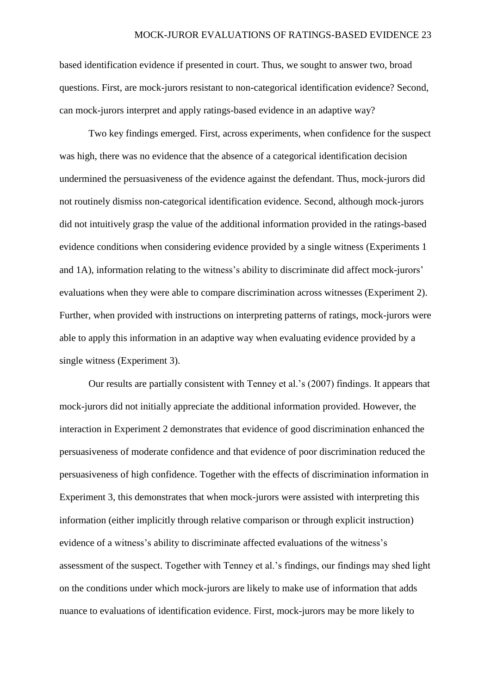based identification evidence if presented in court. Thus, we sought to answer two, broad questions. First, are mock-jurors resistant to non-categorical identification evidence? Second, can mock-jurors interpret and apply ratings-based evidence in an adaptive way?

Two key findings emerged. First, across experiments, when confidence for the suspect was high, there was no evidence that the absence of a categorical identification decision undermined the persuasiveness of the evidence against the defendant. Thus, mock-jurors did not routinely dismiss non-categorical identification evidence. Second, although mock-jurors did not intuitively grasp the value of the additional information provided in the ratings-based evidence conditions when considering evidence provided by a single witness (Experiments 1 and 1A), information relating to the witness's ability to discriminate did affect mock-jurors' evaluations when they were able to compare discrimination across witnesses (Experiment 2). Further, when provided with instructions on interpreting patterns of ratings, mock-jurors were able to apply this information in an adaptive way when evaluating evidence provided by a single witness (Experiment 3).

Our results are partially consistent with Tenney et al.'s (2007) findings. It appears that mock-jurors did not initially appreciate the additional information provided. However, the interaction in Experiment 2 demonstrates that evidence of good discrimination enhanced the persuasiveness of moderate confidence and that evidence of poor discrimination reduced the persuasiveness of high confidence. Together with the effects of discrimination information in Experiment 3, this demonstrates that when mock-jurors were assisted with interpreting this information (either implicitly through relative comparison or through explicit instruction) evidence of a witness's ability to discriminate affected evaluations of the witness's assessment of the suspect. Together with Tenney et al.'s findings, our findings may shed light on the conditions under which mock-jurors are likely to make use of information that adds nuance to evaluations of identification evidence. First, mock-jurors may be more likely to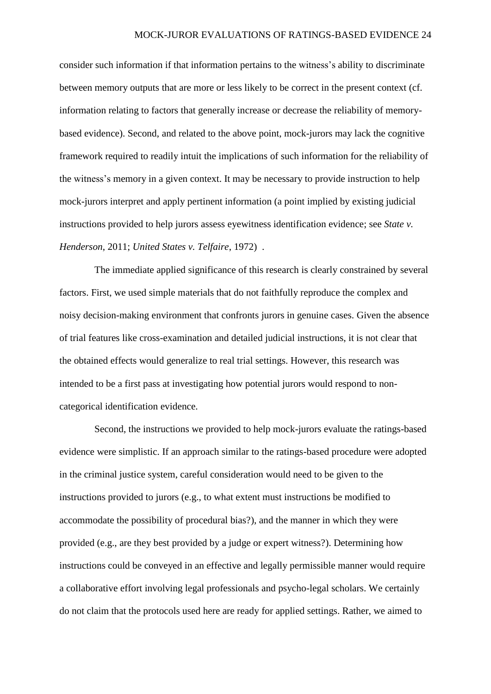consider such information if that information pertains to the witness's ability to discriminate between memory outputs that are more or less likely to be correct in the present context (cf. information relating to factors that generally increase or decrease the reliability of memorybased evidence). Second, and related to the above point, mock-jurors may lack the cognitive framework required to readily intuit the implications of such information for the reliability of the witness's memory in a given context. It may be necessary to provide instruction to help mock-jurors interpret and apply pertinent information (a point implied by existing judicial instructions provided to help jurors assess eyewitness identification evidence; see *State v. Henderson*, 2011; *United States v. Telfaire*, 1972) .

The immediate applied significance of this research is clearly constrained by several factors. First, we used simple materials that do not faithfully reproduce the complex and noisy decision-making environment that confronts jurors in genuine cases. Given the absence of trial features like cross-examination and detailed judicial instructions, it is not clear that the obtained effects would generalize to real trial settings. However, this research was intended to be a first pass at investigating how potential jurors would respond to noncategorical identification evidence.

Second, the instructions we provided to help mock-jurors evaluate the ratings-based evidence were simplistic. If an approach similar to the ratings-based procedure were adopted in the criminal justice system, careful consideration would need to be given to the instructions provided to jurors (e.g., to what extent must instructions be modified to accommodate the possibility of procedural bias?), and the manner in which they were provided (e.g., are they best provided by a judge or expert witness?). Determining how instructions could be conveyed in an effective and legally permissible manner would require a collaborative effort involving legal professionals and psycho-legal scholars. We certainly do not claim that the protocols used here are ready for applied settings. Rather, we aimed to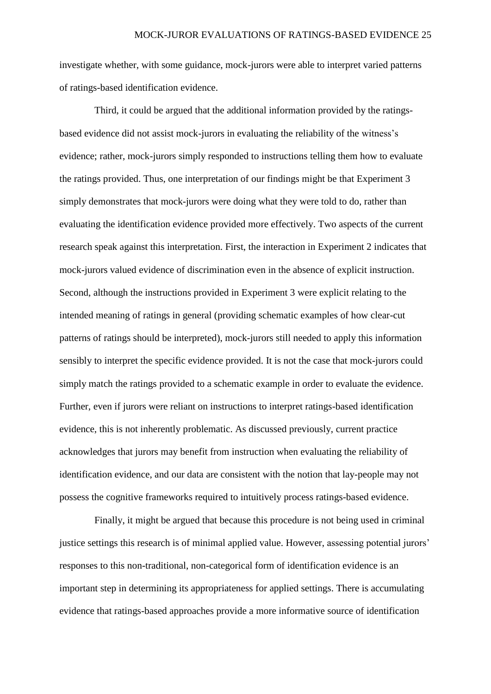investigate whether, with some guidance, mock-jurors were able to interpret varied patterns of ratings-based identification evidence.

Third, it could be argued that the additional information provided by the ratingsbased evidence did not assist mock-jurors in evaluating the reliability of the witness's evidence; rather, mock-jurors simply responded to instructions telling them how to evaluate the ratings provided. Thus, one interpretation of our findings might be that Experiment 3 simply demonstrates that mock-jurors were doing what they were told to do, rather than evaluating the identification evidence provided more effectively. Two aspects of the current research speak against this interpretation. First, the interaction in Experiment 2 indicates that mock-jurors valued evidence of discrimination even in the absence of explicit instruction. Second, although the instructions provided in Experiment 3 were explicit relating to the intended meaning of ratings in general (providing schematic examples of how clear-cut patterns of ratings should be interpreted), mock-jurors still needed to apply this information sensibly to interpret the specific evidence provided. It is not the case that mock-jurors could simply match the ratings provided to a schematic example in order to evaluate the evidence. Further, even if jurors were reliant on instructions to interpret ratings-based identification evidence, this is not inherently problematic. As discussed previously, current practice acknowledges that jurors may benefit from instruction when evaluating the reliability of identification evidence, and our data are consistent with the notion that lay-people may not possess the cognitive frameworks required to intuitively process ratings-based evidence.

Finally, it might be argued that because this procedure is not being used in criminal justice settings this research is of minimal applied value. However, assessing potential jurors' responses to this non-traditional, non-categorical form of identification evidence is an important step in determining its appropriateness for applied settings. There is accumulating evidence that ratings-based approaches provide a more informative source of identification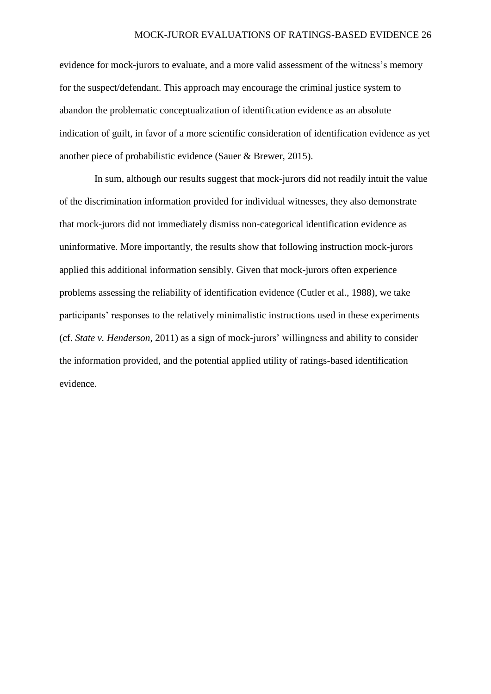evidence for mock-jurors to evaluate, and a more valid assessment of the witness's memory for the suspect/defendant. This approach may encourage the criminal justice system to abandon the problematic conceptualization of identification evidence as an absolute indication of guilt, in favor of a more scientific consideration of identification evidence as yet another piece of probabilistic evidence [\(Sauer & Brewer, 2015\)](#page-28-1).

In sum, although our results suggest that mock-jurors did not readily intuit the value of the discrimination information provided for individual witnesses, they also demonstrate that mock-jurors did not immediately dismiss non-categorical identification evidence as uninformative. More importantly, the results show that following instruction mock-jurors applied this additional information sensibly. Given that mock-jurors often experience problems assessing the reliability of identification evidence [\(Cutler et al., 1988\)](#page-27-0), we take participants' responses to the relatively minimalistic instructions used in these experiments (cf. *State v. Henderson*, 2011) as a sign of mock-jurors' willingness and ability to consider the information provided, and the potential applied utility of ratings-based identification evidence.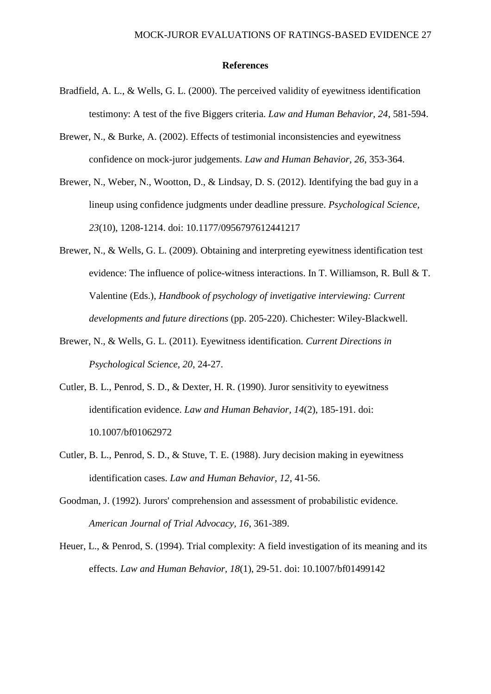#### **References**

- <span id="page-27-6"></span>Bradfield, A. L., & Wells, G. L. (2000). The perceived validity of eyewitness identification testimony: A test of the five Biggers criteria. *Law and Human Behavior, 24*, 581-594.
- <span id="page-27-7"></span>Brewer, N., & Burke, A. (2002). Effects of testimonial inconsistencies and eyewitness confidence on mock-juror judgements. *Law and Human Behavior, 26*, 353-364.
- <span id="page-27-1"></span>Brewer, N., Weber, N., Wootton, D., & Lindsay, D. S. (2012). Identifying the bad guy in a lineup using confidence judgments under deadline pressure. *Psychological Science, 23*(10), 1208-1214. doi: 10.1177/0956797612441217
- <span id="page-27-2"></span>Brewer, N., & Wells, G. L. (2009). Obtaining and interpreting eyewitness identification test evidence: The influence of police-witness interactions. In T. Williamson, R. Bull & T. Valentine (Eds.), *Handbook of psychology of invetigative interviewing: Current developments and future directions* (pp. 205-220). Chichester: Wiley-Blackwell.
- <span id="page-27-3"></span>Brewer, N., & Wells, G. L. (2011). Eyewitness identification. *Current Directions in Psychological Science, 20*, 24-27.
- <span id="page-27-8"></span>Cutler, B. L., Penrod, S. D., & Dexter, H. R. (1990). Juror sensitivity to eyewitness identification evidence. *Law and Human Behavior, 14*(2), 185-191. doi: 10.1007/bf01062972
- <span id="page-27-0"></span>Cutler, B. L., Penrod, S. D., & Stuve, T. E. (1988). Jury decision making in eyewitness identification cases. *Law and Human Behavior, 12*, 41-56.
- <span id="page-27-5"></span>Goodman, J. (1992). Jurors' comprehension and assessment of probabilistic evidence. *American Journal of Trial Advocacy, 16*, 361-389.
- <span id="page-27-4"></span>Heuer, L., & Penrod, S. (1994). Trial complexity: A field investigation of its meaning and its effects. *Law and Human Behavior, 18*(1), 29-51. doi: 10.1007/bf01499142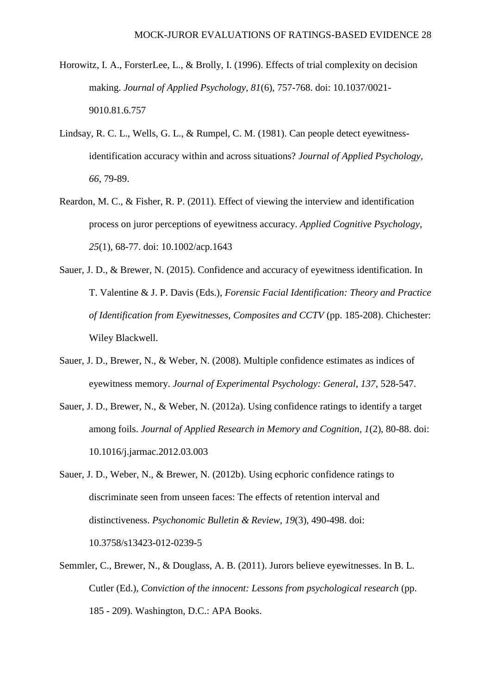- <span id="page-28-4"></span>Horowitz, I. A., ForsterLee, L., & Brolly, I. (1996). Effects of trial complexity on decision making. *Journal of Applied Psychology, 81*(6), 757-768. doi: 10.1037/0021- 9010.81.6.757
- <span id="page-28-5"></span>Lindsay, R. C. L., Wells, G. L., & Rumpel, C. M. (1981). Can people detect eyewitnessidentification accuracy within and across situations? *Journal of Applied Psychology, 66*, 79-89.
- Reardon, M. C., & Fisher, R. P. (2011). Effect of viewing the interview and identification process on juror perceptions of eyewitness accuracy. *Applied Cognitive Psychology, 25*(1), 68-77. doi: 10.1002/acp.1643
- <span id="page-28-1"></span>Sauer, J. D., & Brewer, N. (2015). Confidence and accuracy of eyewitness identification. In T. Valentine & J. P. Davis (Eds.), *Forensic Facial Identification: Theory and Practice of Identification from Eyewitnesses, Composites and CCTV* (pp. 185-208). Chichester: Wiley Blackwell.
- <span id="page-28-2"></span>Sauer, J. D., Brewer, N., & Weber, N. (2008). Multiple confidence estimates as indices of eyewitness memory. *Journal of Experimental Psychology: General, 137*, 528-547.
- <span id="page-28-3"></span>Sauer, J. D., Brewer, N., & Weber, N. (2012a). Using confidence ratings to identify a target among foils. *Journal of Applied Research in Memory and Cognition, 1*(2), 80-88. doi: 10.1016/j.jarmac.2012.03.003
- <span id="page-28-6"></span>Sauer, J. D., Weber, N., & Brewer, N. (2012b). Using ecphoric confidence ratings to discriminate seen from unseen faces: The effects of retention interval and distinctiveness. *Psychonomic Bulletin & Review, 19*(3), 490-498. doi: 10.3758/s13423-012-0239-5
- <span id="page-28-0"></span>Semmler, C., Brewer, N., & Douglass, A. B. (2011). Jurors believe eyewitnesses. In B. L. Cutler (Ed.), *Conviction of the innocent: Lessons from psychological research* (pp. 185 - 209). Washington, D.C.: APA Books.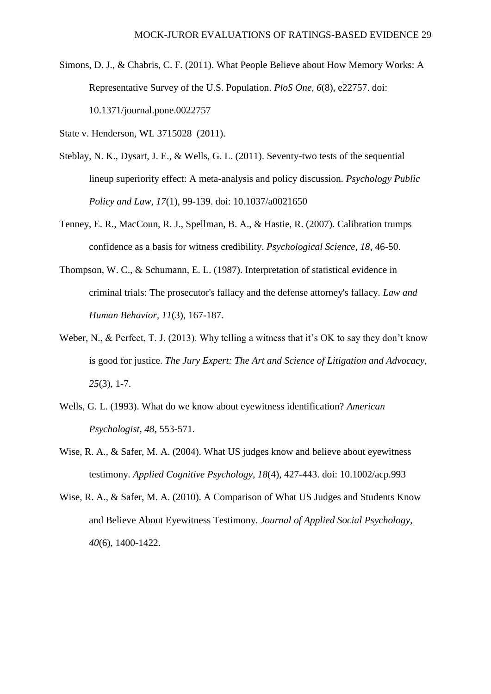<span id="page-29-3"></span>Simons, D. J., & Chabris, C. F. (2011). What People Believe about How Memory Works: A Representative Survey of the U.S. Population. *PloS One, 6*(8), e22757. doi: 10.1371/journal.pone.0022757

State v. Henderson, WL 3715028 (2011).

- <span id="page-29-0"></span>Steblay, N. K., Dysart, J. E., & Wells, G. L. (2011). Seventy-two tests of the sequential lineup superiority effect: A meta-analysis and policy discussion. *Psychology Public Policy and Law, 17*(1), 99-139. doi: 10.1037/a0021650
- <span id="page-29-6"></span>Tenney, E. R., MacCoun, R. J., Spellman, B. A., & Hastie, R. (2007). Calibration trumps confidence as a basis for witness credibility. *Psychological Science, 18*, 46-50.
- <span id="page-29-2"></span>Thompson, W. C., & Schumann, E. L. (1987). Interpretation of statistical evidence in criminal trials: The prosecutor's fallacy and the defense attorney's fallacy. *Law and Human Behavior, 11*(3), 167-187.
- <span id="page-29-7"></span>Weber, N., & Perfect, T. J. (2013). Why telling a witness that it's OK to say they don't know is good for justice. *The Jury Expert: The Art and Science of Litigation and Advocacy, 25*(3), 1-7.
- <span id="page-29-1"></span>Wells, G. L. (1993). What do we know about eyewitness identification? *American Psychologist, 48*, 553-571.
- <span id="page-29-4"></span>Wise, R. A., & Safer, M. A. (2004). What US judges know and believe about eyewitness testimony. *Applied Cognitive Psychology, 18*(4), 427-443. doi: 10.1002/acp.993
- <span id="page-29-5"></span>Wise, R. A., & Safer, M. A. (2010). A Comparison of What US Judges and Students Know and Believe About Eyewitness Testimony. *Journal of Applied Social Psychology, 40*(6), 1400-1422.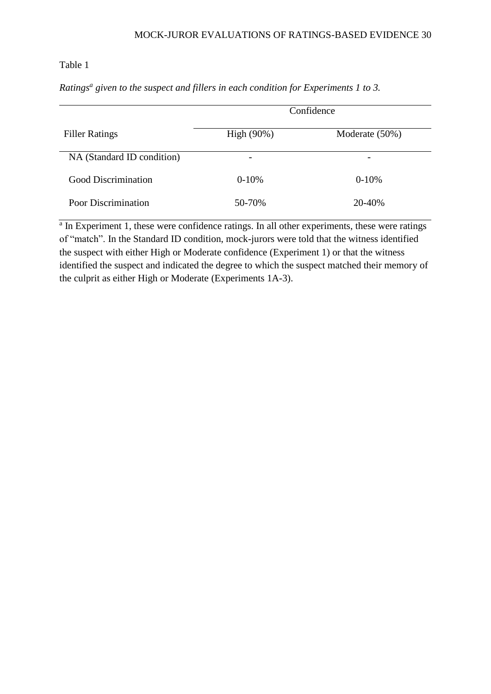# Table 1

*Ratings<sup>a</sup> given to the suspect and fillers in each condition for Experiments 1 to 3.* **Confidence** 

| <b>Filler Ratings</b>      | High $(90\%)$            | Moderate (50%) |
|----------------------------|--------------------------|----------------|
| NA (Standard ID condition) | $\overline{\phantom{0}}$ |                |
| Good Discrimination        | $0-10%$                  | $0-10%$        |
| <b>Poor Discrimination</b> | 50-70%                   | 20-40%         |

<sup>a</sup> In Experiment 1, these were confidence ratings. In all other experiments, these were ratings of "match". In the Standard ID condition, mock-jurors were told that the witness identified the suspect with either High or Moderate confidence (Experiment 1) or that the witness identified the suspect and indicated the degree to which the suspect matched their memory of the culprit as either High or Moderate (Experiments 1A-3).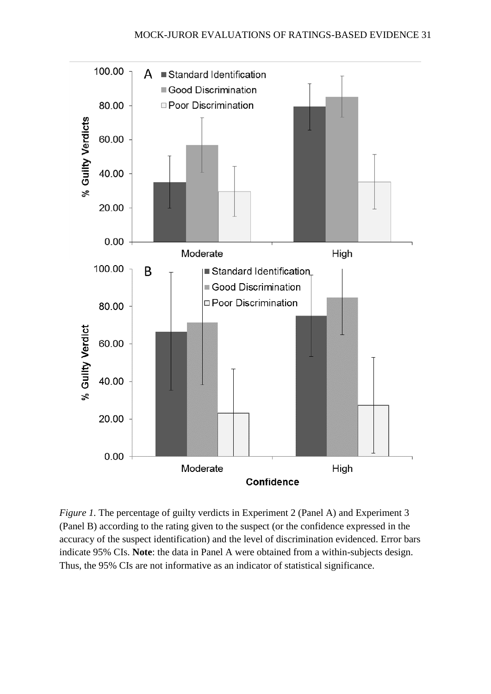

*Figure 1.* The percentage of guilty verdicts in Experiment 2 (Panel A) and Experiment 3 (Panel B) according to the rating given to the suspect (or the confidence expressed in the accuracy of the suspect identification) and the level of discrimination evidenced. Error bars indicate 95% CIs. **Note**: the data in Panel A were obtained from a within-subjects design. Thus, the 95% CIs are not informative as an indicator of statistical significance.